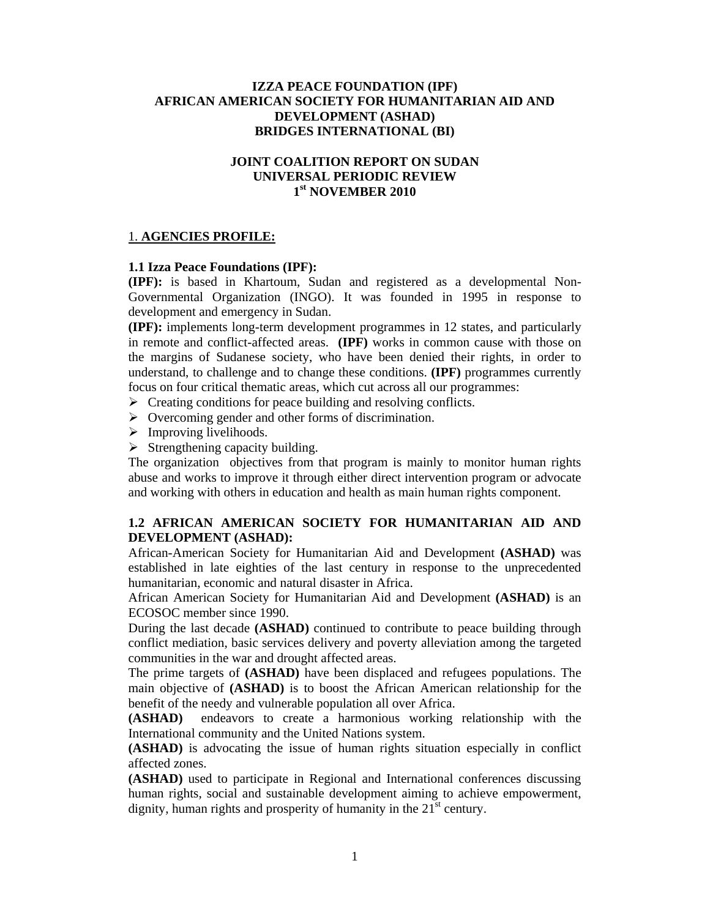#### **IZZA PEACE FOUNDATION (IPF) AFRICAN AMERICAN SOCIETY FOR HUMANITARIAN AID AND DEVELOPMENT (ASHAD) BRIDGES INTERNATIONAL (BI)**

## **JOINT COALITION REPORT ON SUDAN UNIVERSAL PERIODIC REVIEW 1st NOVEMBER 2010**

#### 1. **AGENCIES PROFILE:**

#### **1.1 Izza Peace Foundations (IPF):**

**(IPF):** is based in Khartoum, Sudan and registered as a developmental Non-Governmental Organization (INGO). It was founded in 1995 in response to development and emergency in Sudan.

**(IPF):** implements long-term development programmes in 12 states, and particularly in remote and conflict-affected areas. **(IPF)** works in common cause with those on the margins of Sudanese society, who have been denied their rights, in order to understand, to challenge and to change these conditions. **(IPF)** programmes currently focus on four critical thematic areas, which cut across all our programmes:

- $\triangleright$  Creating conditions for peace building and resolving conflicts.
- $\triangleright$  Overcoming gender and other forms of discrimination.
- $\triangleright$  Improving livelihoods.
- $\triangleright$  Strengthening capacity building.

The organization objectives from that program is mainly to monitor human rights abuse and works to improve it through either direct intervention program or advocate and working with others in education and health as main human rights component.

## **1.2 AFRICAN AMERICAN SOCIETY FOR HUMANITARIAN AID AND DEVELOPMENT (ASHAD):**

African-American Society for Humanitarian Aid and Development **(ASHAD)** was established in late eighties of the last century in response to the unprecedented humanitarian, economic and natural disaster in Africa.

African American Society for Humanitarian Aid and Development **(ASHAD)** is an ECOSOC member since 1990.

During the last decade **(ASHAD)** continued to contribute to peace building through conflict mediation, basic services delivery and poverty alleviation among the targeted communities in the war and drought affected areas.

The prime targets of **(ASHAD)** have been displaced and refugees populations. The main objective of **(ASHAD)** is to boost the African American relationship for the benefit of the needy and vulnerable population all over Africa.

**(ASHAD)** endeavors to create a harmonious working relationship with the International community and the United Nations system.

**(ASHAD)** is advocating the issue of human rights situation especially in conflict affected zones.

**(ASHAD)** used to participate in Regional and International conferences discussing human rights, social and sustainable development aiming to achieve empowerment, dignity, human rights and prosperity of humanity in the  $21<sup>st</sup>$  century.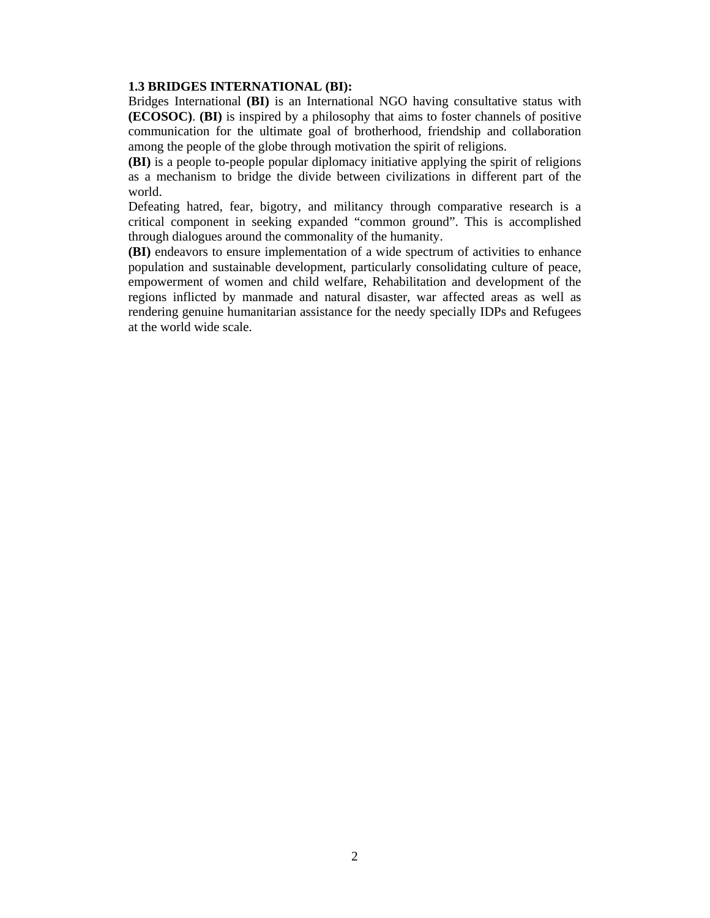#### **1.3 BRIDGES INTERNATIONAL (BI):**

Bridges International **(BI)** is an International NGO having consultative status with **(ECOSOC)**. **(BI)** is inspired by a philosophy that aims to foster channels of positive communication for the ultimate goal of brotherhood, friendship and collaboration among the people of the globe through motivation the spirit of religions.

**(BI)** is a people to-people popular diplomacy initiative applying the spirit of religions as a mechanism to bridge the divide between civilizations in different part of the world.

Defeating hatred, fear, bigotry, and militancy through comparative research is a critical component in seeking expanded "common ground". This is accomplished through dialogues around the commonality of the humanity.

**(BI)** endeavors to ensure implementation of a wide spectrum of activities to enhance population and sustainable development, particularly consolidating culture of peace, empowerment of women and child welfare, Rehabilitation and development of the regions inflicted by manmade and natural disaster, war affected areas as well as rendering genuine humanitarian assistance for the needy specially IDPs and Refugees at the world wide scale.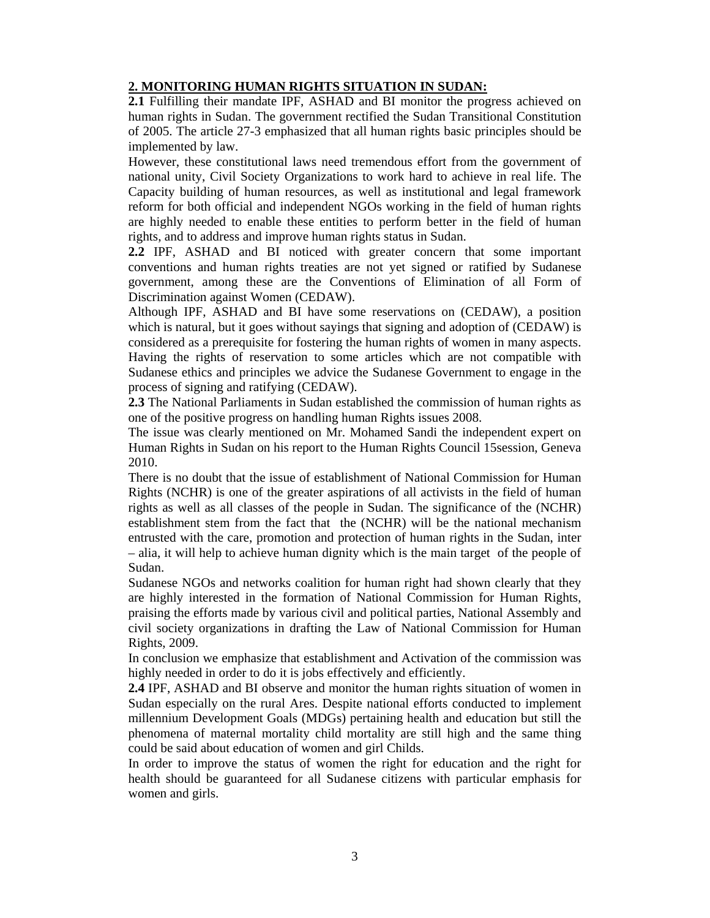# **2. MONITORING HUMAN RIGHTS SITUATION IN SUDAN:**

**2.1** Fulfilling their mandate IPF, ASHAD and BI monitor the progress achieved on human rights in Sudan. The government rectified the Sudan Transitional Constitution of 2005. The article 27-3 emphasized that all human rights basic principles should be implemented by law.

However, these constitutional laws need tremendous effort from the government of national unity, Civil Society Organizations to work hard to achieve in real life. The Capacity building of human resources, as well as institutional and legal framework reform for both official and independent NGOs working in the field of human rights are highly needed to enable these entities to perform better in the field of human rights, and to address and improve human rights status in Sudan.

**2.2** IPF, ASHAD and BI noticed with greater concern that some important conventions and human rights treaties are not yet signed or ratified by Sudanese government, among these are the Conventions of Elimination of all Form of Discrimination against Women (CEDAW).

Although IPF, ASHAD and BI have some reservations on (CEDAW), a position which is natural, but it goes without sayings that signing and adoption of (CEDAW) is considered as a prerequisite for fostering the human rights of women in many aspects. Having the rights of reservation to some articles which are not compatible with Sudanese ethics and principles we advice the Sudanese Government to engage in the process of signing and ratifying (CEDAW).

**2.3** The National Parliaments in Sudan established the commission of human rights as one of the positive progress on handling human Rights issues 2008.

The issue was clearly mentioned on Mr. Mohamed Sandi the independent expert on Human Rights in Sudan on his report to the Human Rights Council 15session, Geneva 2010.

There is no doubt that the issue of establishment of National Commission for Human Rights (NCHR) is one of the greater aspirations of all activists in the field of human rights as well as all classes of the people in Sudan. The significance of the (NCHR) establishment stem from the fact that the (NCHR) will be the national mechanism entrusted with the care, promotion and protection of human rights in the Sudan, inter – alia, it will help to achieve human dignity which is the main target of the people of Sudan.

Sudanese NGOs and networks coalition for human right had shown clearly that they are highly interested in the formation of National Commission for Human Rights, praising the efforts made by various civil and political parties, National Assembly and civil society organizations in drafting the Law of National Commission for Human Rights, 2009.

In conclusion we emphasize that establishment and Activation of the commission was highly needed in order to do it is jobs effectively and efficiently.

**2.4** IPF, ASHAD and BI observe and monitor the human rights situation of women in Sudan especially on the rural Ares. Despite national efforts conducted to implement millennium Development Goals (MDGs) pertaining health and education but still the phenomena of maternal mortality child mortality are still high and the same thing could be said about education of women and girl Childs.

In order to improve the status of women the right for education and the right for health should be guaranteed for all Sudanese citizens with particular emphasis for women and girls.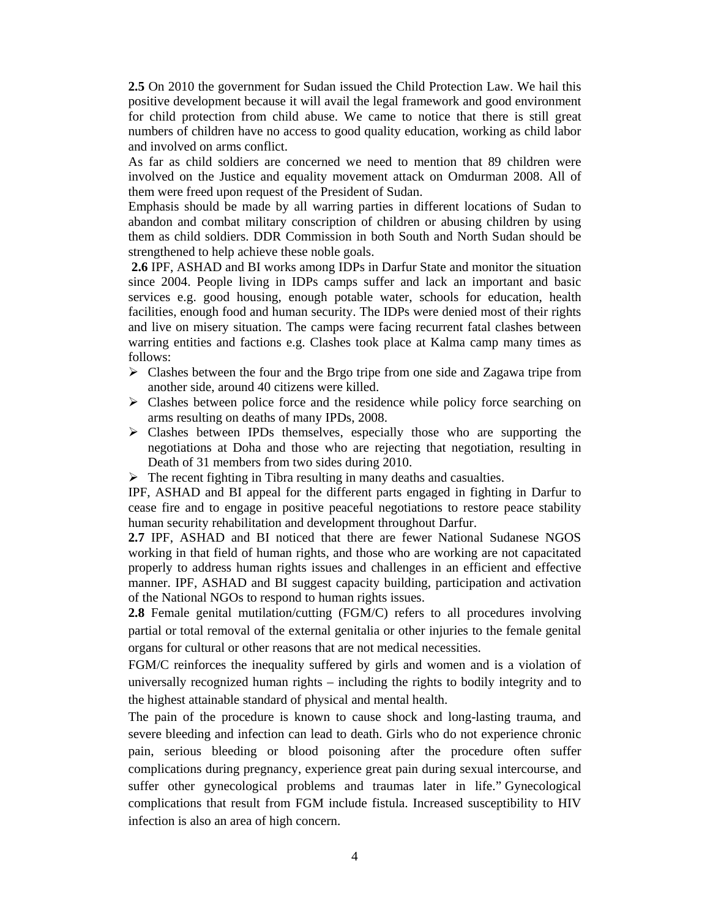**2.5** On 2010 the government for Sudan issued the Child Protection Law. We hail this positive development because it will avail the legal framework and good environment for child protection from child abuse. We came to notice that there is still great numbers of children have no access to good quality education, working as child labor and involved on arms conflict.

As far as child soldiers are concerned we need to mention that 89 children were involved on the Justice and equality movement attack on Omdurman 2008. All of them were freed upon request of the President of Sudan.

Emphasis should be made by all warring parties in different locations of Sudan to abandon and combat military conscription of children or abusing children by using them as child soldiers. DDR Commission in both South and North Sudan should be strengthened to help achieve these noble goals.

 **2.6** IPF, ASHAD and BI works among IDPs in Darfur State and monitor the situation since 2004. People living in IDPs camps suffer and lack an important and basic services e.g. good housing, enough potable water, schools for education, health facilities, enough food and human security. The IDPs were denied most of their rights and live on misery situation. The camps were facing recurrent fatal clashes between warring entities and factions e.g. Clashes took place at Kalma camp many times as follows:

- $\triangleright$  Clashes between the four and the Brgo tripe from one side and Zagawa tripe from another side, around 40 citizens were killed.
- $\triangleright$  Clashes between police force and the residence while policy force searching on arms resulting on deaths of many IPDs, 2008.
- $\triangleright$  Clashes between IPDs themselves, especially those who are supporting the negotiations at Doha and those who are rejecting that negotiation, resulting in Death of 31 members from two sides during 2010.
- $\triangleright$  The recent fighting in Tibra resulting in many deaths and casualties.

IPF, ASHAD and BI appeal for the different parts engaged in fighting in Darfur to cease fire and to engage in positive peaceful negotiations to restore peace stability human security rehabilitation and development throughout Darfur.

**2.7** IPF, ASHAD and BI noticed that there are fewer National Sudanese NGOS working in that field of human rights, and those who are working are not capacitated properly to address human rights issues and challenges in an efficient and effective manner. IPF, ASHAD and BI suggest capacity building, participation and activation of the National NGOs to respond to human rights issues.

**2.8** Female genital mutilation/cutting (FGM/C) refers to all procedures involving partial or total removal of the external genitalia or other injuries to the female genital organs for cultural or other reasons that are not medical necessities.

FGM/C reinforces the inequality suffered by girls and women and is a violation of universally recognized human rights – including the rights to bodily integrity and to the highest attainable standard of physical and mental health.

The pain of the procedure is known to cause shock and long-lasting trauma, and severe bleeding and infection can lead to death. Girls who do not experience chronic pain, serious bleeding or blood poisoning after the procedure often suffer complications during pregnancy, experience great pain during sexual intercourse, and suffer other gynecological problems and traumas later in life." Gynecological complications that result from FGM include fistula. Increased susceptibility to HIV infection is also an area of high concern.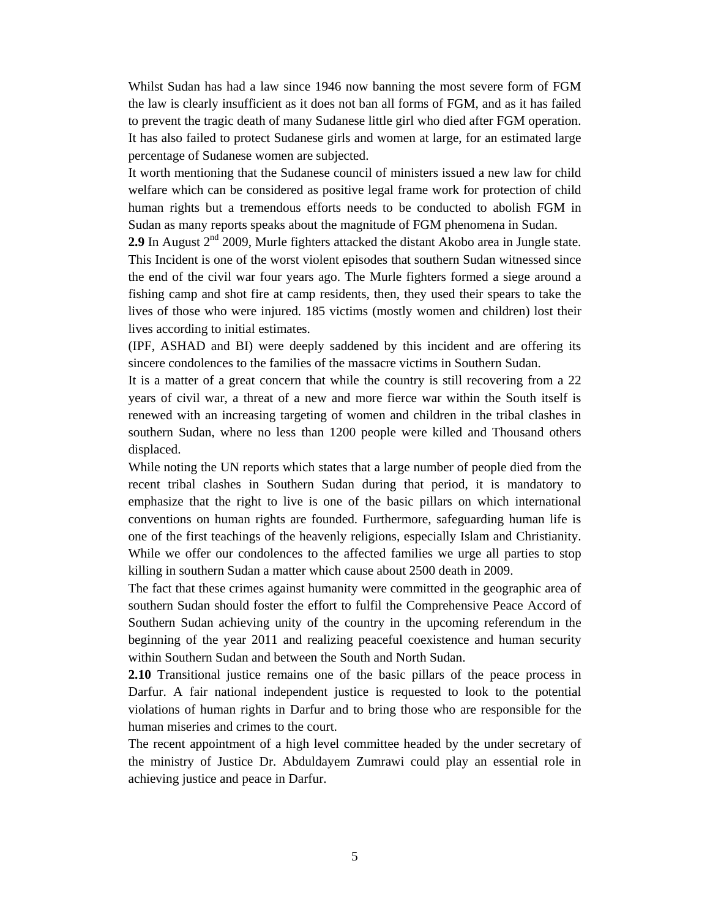Whilst Sudan has had a law since 1946 now banning the most severe form of FGM the law is clearly insufficient as it does not ban all forms of FGM, and as it has failed to prevent the tragic death of many Sudanese little girl who died after FGM operation. It has also failed to protect Sudanese girls and women at large, for an estimated large percentage of Sudanese women are subjected.

It worth mentioning that the Sudanese council of ministers issued a new law for child welfare which can be considered as positive legal frame work for protection of child human rights but a tremendous efforts needs to be conducted to abolish FGM in Sudan as many reports speaks about the magnitude of FGM phenomena in Sudan.

**2.9** In August  $2^{nd}$  2009, Murle fighters attacked the distant Akobo area in Jungle state. This Incident is one of the worst violent episodes that southern Sudan witnessed since the end of the civil war four years ago. The Murle fighters formed a siege around a fishing camp and shot fire at camp residents, then, they used their spears to take the lives of those who were injured. 185 victims (mostly women and children) lost their lives according to initial estimates.

(IPF, ASHAD and BI) were deeply saddened by this incident and are offering its sincere condolences to the families of the massacre victims in Southern Sudan.

It is a matter of a great concern that while the country is still recovering from a 22 years of civil war, a threat of a new and more fierce war within the South itself is renewed with an increasing targeting of women and children in the tribal clashes in southern Sudan, where no less than 1200 people were killed and Thousand others displaced.

While noting the UN reports which states that a large number of people died from the recent tribal clashes in Southern Sudan during that period, it is mandatory to emphasize that the right to live is one of the basic pillars on which international conventions on human rights are founded. Furthermore, safeguarding human life is one of the first teachings of the heavenly religions, especially Islam and Christianity. While we offer our condolences to the affected families we urge all parties to stop killing in southern Sudan a matter which cause about 2500 death in 2009.

The fact that these crimes against humanity were committed in the geographic area of southern Sudan should foster the effort to fulfil the Comprehensive Peace Accord of Southern Sudan achieving unity of the country in the upcoming referendum in the beginning of the year 2011 and realizing peaceful coexistence and human security within Southern Sudan and between the South and North Sudan.

**2.10** Transitional justice remains one of the basic pillars of the peace process in Darfur. A fair national independent justice is requested to look to the potential violations of human rights in Darfur and to bring those who are responsible for the human miseries and crimes to the court.

The recent appointment of a high level committee headed by the under secretary of the ministry of Justice Dr. Abduldayem Zumrawi could play an essential role in achieving justice and peace in Darfur.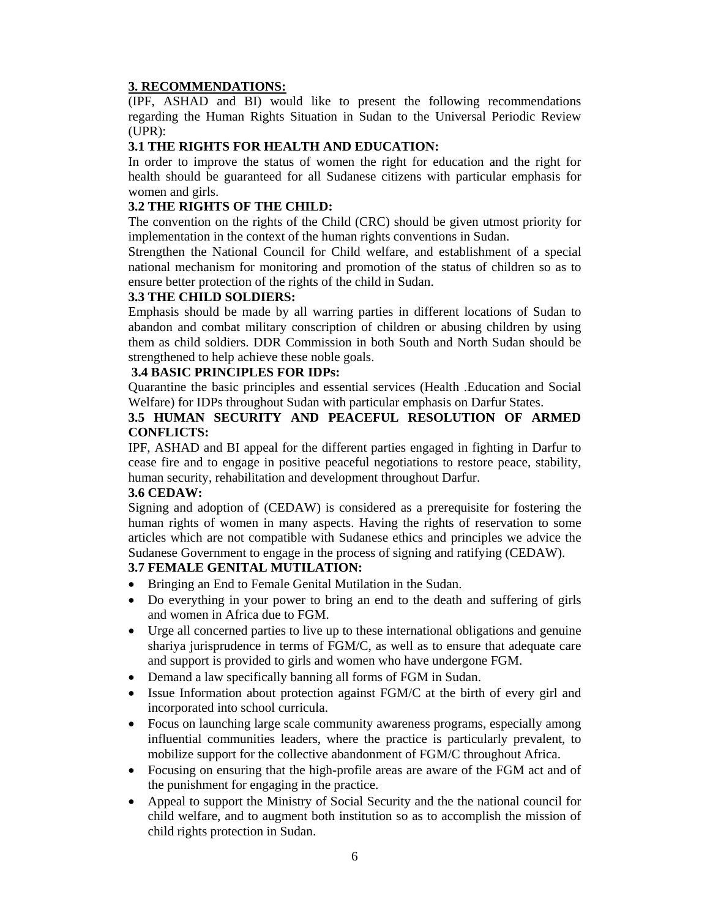# **3. RECOMMENDATIONS:**

(IPF, ASHAD and BI) would like to present the following recommendations regarding the Human Rights Situation in Sudan to the Universal Periodic Review (UPR):

## **3.1 THE RIGHTS FOR HEALTH AND EDUCATION:**

In order to improve the status of women the right for education and the right for health should be guaranteed for all Sudanese citizens with particular emphasis for women and girls.

#### **3.2 THE RIGHTS OF THE CHILD:**

The convention on the rights of the Child (CRC) should be given utmost priority for implementation in the context of the human rights conventions in Sudan.

Strengthen the National Council for Child welfare, and establishment of a special national mechanism for monitoring and promotion of the status of children so as to ensure better protection of the rights of the child in Sudan.

#### **3.3 THE CHILD SOLDIERS:**

Emphasis should be made by all warring parties in different locations of Sudan to abandon and combat military conscription of children or abusing children by using them as child soldiers. DDR Commission in both South and North Sudan should be strengthened to help achieve these noble goals.

#### **3.4 BASIC PRINCIPLES FOR IDPs:**

Quarantine the basic principles and essential services (Health .Education and Social Welfare) for IDPs throughout Sudan with particular emphasis on Darfur States.

#### **3.5 HUMAN SECURITY AND PEACEFUL RESOLUTION OF ARMED CONFLICTS:**

IPF, ASHAD and BI appeal for the different parties engaged in fighting in Darfur to cease fire and to engage in positive peaceful negotiations to restore peace, stability, human security, rehabilitation and development throughout Darfur.

#### **3.6 CEDAW:**

Signing and adoption of (CEDAW) is considered as a prerequisite for fostering the human rights of women in many aspects. Having the rights of reservation to some articles which are not compatible with Sudanese ethics and principles we advice the Sudanese Government to engage in the process of signing and ratifying (CEDAW).

## **3.7 FEMALE GENITAL MUTILATION:**

- Bringing an End to Female Genital Mutilation in the Sudan.
- Do everything in your power to bring an end to the death and suffering of girls and women in Africa due to FGM.
- Urge all concerned parties to live up to these international obligations and genuine shariya jurisprudence in terms of FGM/C, as well as to ensure that adequate care and support is provided to girls and women who have undergone FGM.
- Demand a law specifically banning all forms of FGM in Sudan.
- Issue Information about protection against FGM/C at the birth of every girl and incorporated into school curricula.
- Focus on launching large scale community awareness programs, especially among influential communities leaders, where the practice is particularly prevalent, to mobilize support for the collective abandonment of FGM/C throughout Africa.
- Focusing on ensuring that the high-profile areas are aware of the FGM act and of the punishment for engaging in the practice.
- Appeal to support the Ministry of Social Security and the the national council for child welfare, and to augment both institution so as to accomplish the mission of child rights protection in Sudan.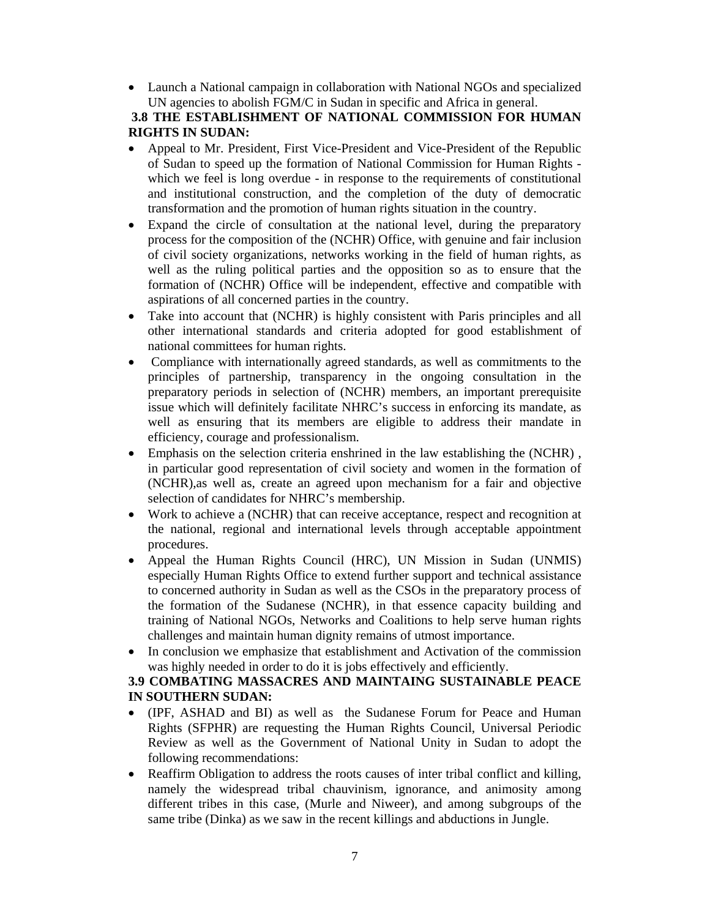• Launch a National campaign in collaboration with National NGOs and specialized UN agencies to abolish FGM/C in Sudan in specific and Africa in general.

# **3.8 THE ESTABLISHMENT OF NATIONAL COMMISSION FOR HUMAN RIGHTS IN SUDAN:**

- Appeal to Mr. President, First Vice-President and Vice-President of the Republic of Sudan to speed up the formation of National Commission for Human Rights which we feel is long overdue - in response to the requirements of constitutional and institutional construction, and the completion of the duty of democratic transformation and the promotion of human rights situation in the country.
- Expand the circle of consultation at the national level, during the preparatory process for the composition of the (NCHR) Office, with genuine and fair inclusion of civil society organizations, networks working in the field of human rights, as well as the ruling political parties and the opposition so as to ensure that the formation of (NCHR) Office will be independent, effective and compatible with aspirations of all concerned parties in the country.
- Take into account that (NCHR) is highly consistent with Paris principles and all other international standards and criteria adopted for good establishment of national committees for human rights.
- Compliance with internationally agreed standards, as well as commitments to the principles of partnership, transparency in the ongoing consultation in the preparatory periods in selection of (NCHR) members, an important prerequisite issue which will definitely facilitate NHRC's success in enforcing its mandate, as well as ensuring that its members are eligible to address their mandate in efficiency, courage and professionalism.
- Emphasis on the selection criteria enshrined in the law establishing the (NCHR) , in particular good representation of civil society and women in the formation of (NCHR),as well as, create an agreed upon mechanism for a fair and objective selection of candidates for NHRC's membership.
- Work to achieve a (NCHR) that can receive acceptance, respect and recognition at the national, regional and international levels through acceptable appointment procedures.
- Appeal the Human Rights Council (HRC), UN Mission in Sudan (UNMIS) especially Human Rights Office to extend further support and technical assistance to concerned authority in Sudan as well as the CSOs in the preparatory process of the formation of the Sudanese (NCHR), in that essence capacity building and training of National NGOs, Networks and Coalitions to help serve human rights challenges and maintain human dignity remains of utmost importance.
- In conclusion we emphasize that establishment and Activation of the commission was highly needed in order to do it is jobs effectively and efficiently.

## **3.9 COMBATING MASSACRES AND MAINTAING SUSTAINABLE PEACE IN SOUTHERN SUDAN:**

- (IPF, ASHAD and BI) as well as the Sudanese Forum for Peace and Human Rights (SFPHR) are requesting the Human Rights Council, Universal Periodic Review as well as the Government of National Unity in Sudan to adopt the following recommendations:
- Reaffirm Obligation to address the roots causes of inter tribal conflict and killing, namely the widespread tribal chauvinism, ignorance, and animosity among different tribes in this case, (Murle and Niweer), and among subgroups of the same tribe (Dinka) as we saw in the recent killings and abductions in Jungle.